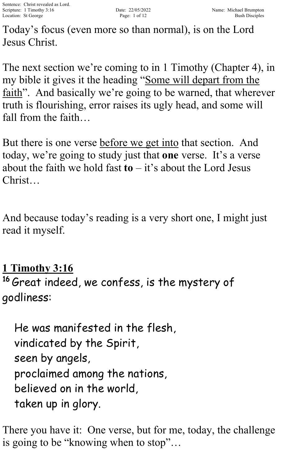Today's focus (even more so than normal), is on the Lord Jesus Christ.

The next section we're coming to in 1 Timothy (Chapter 4), in my bible it gives it the heading "Some will depart from the faith". And basically we're going to be warned, that wherever truth is flourishing, error raises its ugly head, and some will fall from the faith…

But there is one verse before we get into that section. And today, we're going to study just that **one** verse. It's a verse about the faith we hold fast  $\mathbf{t} \mathbf{o} - i \mathbf{t}'$  about the Lord Jesus Christ…

And because today's reading is a very short one, I might just read it myself.

**1 Timothy 3:16**

<sup>16</sup> Great indeed, we confess, is the mystery of godliness:

He was manifested in the flesh, vindicated by the Spirit, seen by angels, proclaimed among the nations, believed on in the world, taken up in glory.

There you have it: One verse, but for me, today, the challenge is going to be "knowing when to stop"…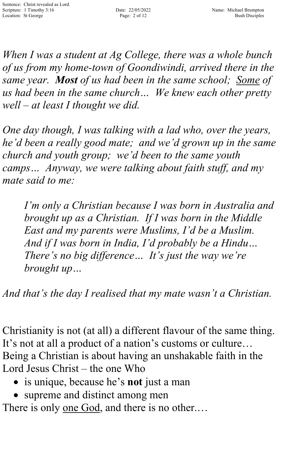*When I was a student at Ag College, there was a whole bunch of us from my home-town of Goondiwindi, arrived there in the same year. Most of us had been in the same school; Some of us had been in the same church… We knew each other pretty well – at least I thought we did.*

*One day though, I was talking with a lad who, over the years, he'd been a really good mate; and we'd grown up in the same church and youth group; we'd been to the same youth camps… Anyway, we were talking about faith stuff, and my mate said to me:*

*I'm only a Christian because I was born in Australia and brought up as a Christian. If I was born in the Middle East and my parents were Muslims, I'd be a Muslim. And if I was born in India, I'd probably be a Hindu… There's no big difference… It's just the way we're brought up…*

*And that's the day I realised that my mate wasn't a Christian.*

Christianity is not (at all) a different flavour of the same thing. It's not at all a product of a nation's customs or culture… Being a Christian is about having an unshakable faith in the Lord Jesus Christ – the one Who

- is unique, because he's **not** just a man
- supreme and distinct among men

There is only <u>one God</u>, and there is no other....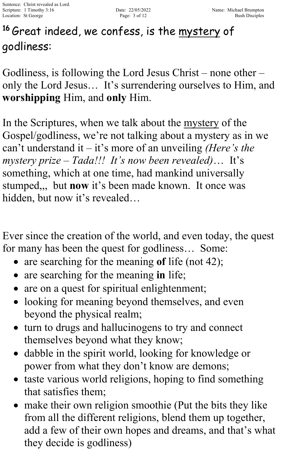# <sup>16</sup> Great indeed, we confess, is the <u>mystery</u> of godliness:

Godliness, is following the Lord Jesus Christ – none other – only the Lord Jesus… It's surrendering ourselves to Him, and **worshipping** Him, and **only** Him.

In the Scriptures, when we talk about the mystery of the Gospel/godliness, we're not talking about a mystery as in we can't understand it – it's more of an unveiling *(Here's the mystery prize – Tada!!! It's now been revealed)*… It's something, which at one time, had mankind universally stumped,,, but **now** it's been made known. It once was hidden, but now it's revealed…

Ever since the creation of the world, and even today, the quest for many has been the quest for godliness… Some:

- are searching for the meaning of life (not 42);
- are searching for the meaning **in** life;
- are on a quest for spiritual enlightenment;
- looking for meaning beyond themselves, and even beyond the physical realm;
- turn to drugs and hallucinogens to try and connect themselves beyond what they know;
- dabble in the spirit world, looking for knowledge or power from what they don't know are demons;
- taste various world religions, hoping to find something that satisfies them;
- make their own religion smoothie (Put the bits they like from all the different religions, blend them up together, add a few of their own hopes and dreams, and that's what they decide is godliness)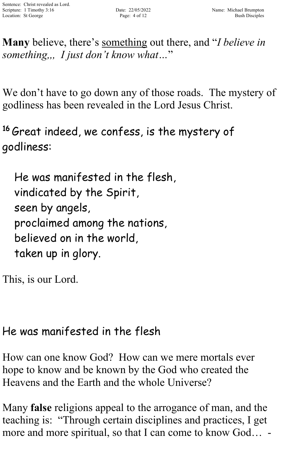**Many** believe, there's something out there, and "*I believe in something,,, I just don't know what…*"

We don't have to go down any of those roads. The mystery of godliness has been revealed in the Lord Jesus Christ.

<sup>16</sup> Great indeed, we confess, is the mystery of godliness:

He was manifested in the flesh, vindicated by the Spirit, seen by angels, proclaimed among the nations, believed on in the world, taken up in glory.

This, is our Lord.

### He was manifested in the flesh

How can one know God? How can we mere mortals ever hope to know and be known by the God who created the Heavens and the Earth and the whole Universe?

Many **false** religions appeal to the arrogance of man, and the teaching is: "Through certain disciplines and practices, I get more and more spiritual, so that I can come to know God... -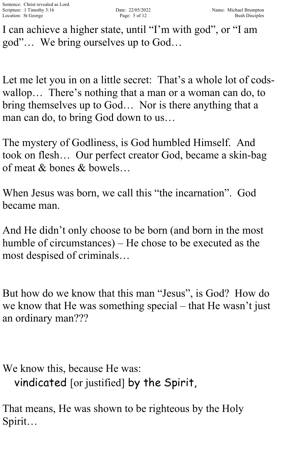I can achieve a higher state, until "I'm with god" , or "I am god"… We bring ourselves up to God…

Let me let you in on a little secret: That's a whole lot of codswallop… There's nothing that a man or a woman can do, to bring themselves up to God… Nor is there anything that a man can do, to bring God down to us…

The mystery of Godliness, is God humbled Himself. And took on flesh… Our perfect creator God, became a skin-bag of meat & bones & bowels…

When Jesus was born, we call this "the incarnation". God became man.

And He didn't only choose to be born (and born in the most humble of circumstances) – He chose to be executed as the most despised of criminals…

But how do we know that this man "Jesus" , is God? How do we know that He was something special – that He wasn't just an ordinary man???

We know this, because He was: vindicated [or justified] by the Spirit,

That means, He was shown to be righteous by the Holy Spirit…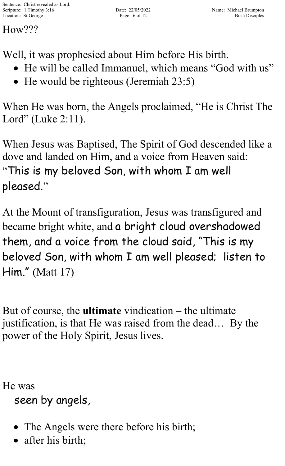How???

Well, it was prophesied about Him before His birth.

- He will be called Immanuel, which means "God with us"
- He would be righteous (Jeremiah 23:5)

When He was born, the Angels proclaimed, "He is Christ The Lord" (Luke 2:11).

When Jesus was Baptised, The Spirit of God descended like a dove and landed on Him, and a voice from Heaven said: "This is my beloved Son, with whom I am well pleased."

At the Mount of transfiguration, Jesus was transfigured and became bright white, and a bright cloud overshadowed them, and a voice from the cloud said, "This is my beloved Son, with whom I am well pleased; listen to Him." (Matt 17)

But of course, the **ultimate** vindication – the ultimate justification, is that He was raised from the dead… By the power of the Holy Spirit, Jesus lives.

He was seen by angels,

- The Angels were there before his birth;
- after his birth;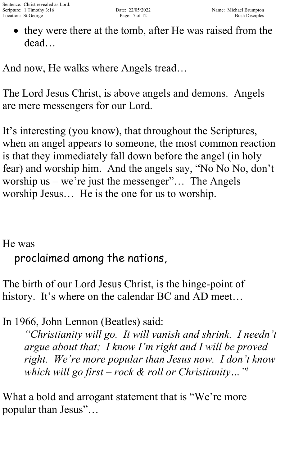• they were there at the tomb, after He was raised from the dead…

And now, He walks where Angels tread…

The Lord Jesus Christ, is above angels and demons. Angels are mere messengers for our Lord.

It's interesting (you know), that throughout the Scriptures, when an angel appears to someone, the most common reaction is that they immediately fall down before the angel (in holy fear) and worship him. And the angels say, "No No No, don't worship us – we're just the messenger"... The Angels worship Jesus… He is the one for us to worship.

#### He was

proclaimed among the nations,

The birth of our Lord Jesus Christ, is the hinge-point of history. It's where on the calendar BC and AD meet...

In 1966, John Lennon (Beatles) said:

*"Christianity will go. It will vanish and shrink. I needn't argue about that; I know I'm right and I will be proved right. We're more popular than Jesus now. I don't know which will go first – rock & roll or Christianity…"i*

What a bold and arrogant statement that is "We're more" popular than Jesus"…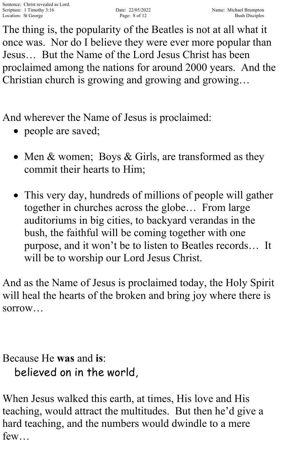The thing is, the popularity of the Beatles is not at all what it once was. Nor do I believe they were ever more popular than Jesus… But the Name of the Lord Jesus Christ has been proclaimed among the nations for around 2000 years. And the Christian church is growing and growing and growing…

And wherever the Name of Jesus is proclaimed:

- people are saved;
- Men & women; Boys & Girls, are transformed as they commit their hearts to Him;
- This very day, hundreds of millions of people will gather together in churches across the globe… From large auditoriums in big cities, to backyard verandas in the bush, the faithful will be coming together with one purpose, and it won't be to listen to Beatles records… It will be to worship our Lord Jesus Christ.

And as the Name of Jesus is proclaimed today, the Holy Spirit will heal the hearts of the broken and bring joy where there is sorrow…

### Because He **was** and **is**: believed on in the world,

When Jesus walked this earth, at times, His love and His teaching, would attract the multitudes. But then he'd give a hard teaching, and the numbers would dwindle to a mere few…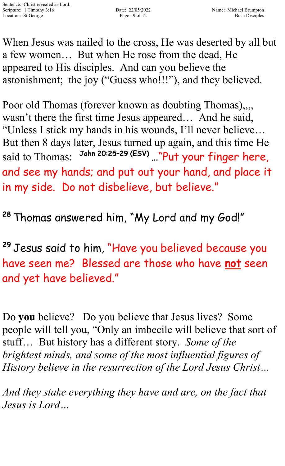When Jesus was nailed to the cross, He was deserted by all but a few women… But when He rose from the dead, He appeared to His disciples. And can you believe the astonishment; the joy ("Guess who!!!"), and they believed.

Poor old Thomas (forever known as doubting Thomas),,,, wasn't there the first time Jesus appeared… And he said, "Unless I stick my hands in his wounds, I'll never believe… But then 8 days later, Jesus turned up again, and this time He said to Thomas: John 20:25-29 (ESV) ... "Put your finger here, and see my hands; and put out your hand, and place it in my side. Do not disbelieve, but believe."

<sup>28</sup> Thomas answered him, "My Lord and my God!"

<sup>29</sup> Jesus said to him, "Have you believed because you have seen me? Blessed are those who have not seen and yet have believed."

Do **you** believe? Do you believe that Jesus lives? Some people will tell you, "Only an imbecile will believe that sort of stuff… But history has a different story. *Some of the brightest minds, and some of the most influential figures of History believe in the resurrection of the Lord Jesus Christ…*

*And they stake everything they have and are, on the fact that Jesus is Lord…*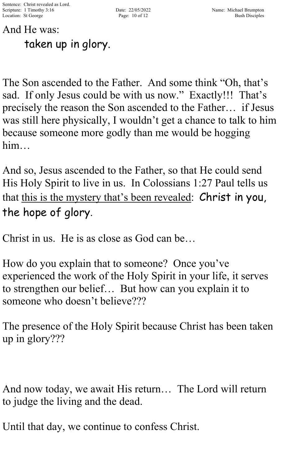## And He was: taken up in glory.

The Son ascended to the Father. And some think "Oh, that's sad. If only Jesus could be with us now." Exactly!!! That's precisely the reason the Son ascended to the Father… if Jesus was still here physically, I wouldn't get a chance to talk to him because someone more godly than me would be hogging him…

And so, Jesus ascended to the Father, so that He could send His Holy Spirit to live in us. In Colossians 1:27 Paul tells us that this is the mystery that's been revealed: Christ in you, the hope of glory.

Christ in us. He is as close as God can be…

How do you explain that to someone? Once you've experienced the work of the Holy Spirit in your life, it serves to strengthen our belief… But how can you explain it to someone who doesn't believe???

The presence of the Holy Spirit because Christ has been taken up in glory???

And now today, we await His return… The Lord will return to judge the living and the dead.

Until that day, we continue to confess Christ.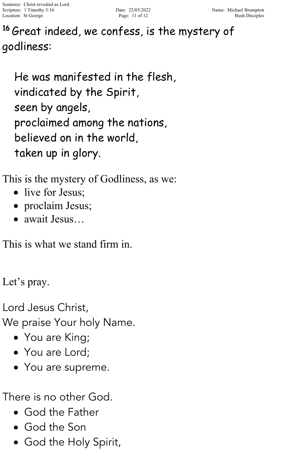Sentence: Christ revealed as Lord. Scripture: 1 Timothy 3:16 Date: 22/05/2022 Name: Michael Brumpton Location: St George Page: 11 of 12 Bush Disciples

#### 16 Great indeed, we confess, is the mystery of godliness:

He was manifested in the flesh, vindicated by the Spirit, seen by angels, proclaimed among the nations, believed on in the world, taken up in glory.

This is the mystery of Godliness, as we:

- live for Jesus;
- proclaim Jesus;
- await Jesus…

This is what we stand firm in.

Let's pray.

Lord Jesus Christ,

We praise Your holy Name.

- You are King;
- You are Lord:
- You are supreme.

There is no other God.

- God the Father
- God the Son
- God the Holy Spirit,